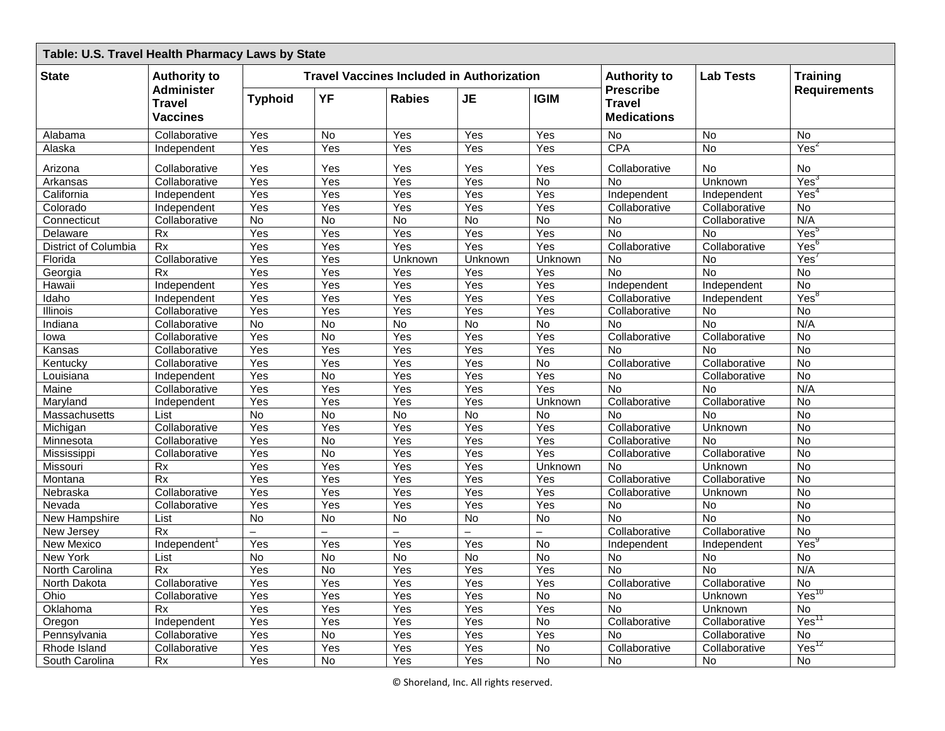| Table: U.S. Travel Health Pharmacy Laws by State |                                                                       |                          |                                                  |                          |                          |                          |                                                         |                 |                     |  |
|--------------------------------------------------|-----------------------------------------------------------------------|--------------------------|--------------------------------------------------|--------------------------|--------------------------|--------------------------|---------------------------------------------------------|-----------------|---------------------|--|
| <b>State</b>                                     | <b>Authority to</b><br>Administer<br><b>Travel</b><br><b>Vaccines</b> |                          | <b>Travel Vaccines Included in Authorization</b> |                          |                          | <b>Authority to</b>      | <b>Lab Tests</b>                                        | <b>Training</b> |                     |  |
|                                                  |                                                                       | <b>Typhoid</b>           | YF                                               | <b>Rabies</b>            | <b>JE</b>                | <b>IGIM</b>              | <b>Prescribe</b><br><b>Travel</b><br><b>Medications</b> |                 | <b>Requirements</b> |  |
| Alabama                                          | Collaborative                                                         | Yes                      | No                                               | Yes                      | Yes                      | Yes                      | <b>No</b>                                               | <b>No</b>       | <b>No</b>           |  |
| Alaska                                           | Independent                                                           | Yes                      | Yes                                              | Yes                      | Yes                      | Yes                      | CPA                                                     | No              | Yes <sup>2</sup>    |  |
| Arizona                                          | Collaborative                                                         | Yes                      | Yes                                              | Yes                      | Yes                      | Yes                      | Collaborative                                           | No              | <b>No</b>           |  |
| Arkansas                                         | Collaborative                                                         | Yes                      | Yes                                              | Yes                      | Yes                      | $\overline{N}$           | No                                                      | Unknown         | Yes                 |  |
| California                                       | Independent                                                           | Yes                      | Yes                                              | Yes                      | Yes                      | Yes                      | Independent                                             | Independent     | Yes'                |  |
| Colorado                                         | Independent                                                           | Yes                      | Yes                                              | Yes                      | Yes                      | Yes                      | Collaborative                                           | Collaborative   | No                  |  |
| Connecticut                                      | Collaborative                                                         | <b>No</b>                | <b>No</b>                                        | No.                      | No                       | <b>No</b>                | <b>No</b>                                               | Collaborative   | N/A                 |  |
| Delaware                                         | Rx                                                                    | Yes                      | Yes                                              | Yes                      | Yes                      | Yes                      | <b>No</b>                                               | <b>No</b>       | Yes <sup>5</sup>    |  |
| District of Columbia                             | Rx                                                                    | Yes                      | $\overline{Y}$ es                                | Yes                      | Yes                      | Yes                      | Collaborative                                           | Collaborative   | Yes <sup>t</sup>    |  |
| Florida                                          | Collaborative                                                         | Yes                      | Yes                                              | Unknown                  | Unknown                  | Unknown                  | No                                                      | No              | Yes                 |  |
| Georgia                                          | <b>Rx</b>                                                             | Yes                      | Yes                                              | Yes                      | Yes                      | Yes                      | <b>No</b>                                               | <b>No</b>       | <b>No</b>           |  |
| Hawaii                                           | Independent                                                           | Yes                      | Yes                                              | Yes                      | Yes                      | Yes                      | Independent                                             | Independent     | No                  |  |
| Idaho                                            | Independent                                                           | Yes                      | Yes                                              | Yes                      | Yes                      | Yes                      | Collaborative                                           | Independent     | Yes <sup>8</sup>    |  |
| Illinois                                         | Collaborative                                                         | Yes                      | Yes                                              | Yes                      | Yes                      | Yes                      | Collaborative                                           | No              | $\overline{N}$      |  |
| Indiana                                          | Collaborative                                                         | No                       | No                                               | $\overline{N}$           | $\overline{N}$           | $\overline{N}$           | <b>No</b>                                               | $\overline{N}$  | N/A                 |  |
| lowa                                             | Collaborative                                                         | Yes                      | $\overline{N}$                                   | Yes                      | Yes                      | Yes                      | Collaborative                                           | Collaborative   | No                  |  |
| Kansas                                           | Collaborative                                                         | <b>Yes</b>               | Yes                                              | $\overline{Yes}$         | Yes                      | Yes                      | N <sub>o</sub>                                          | <b>No</b>       | <b>No</b>           |  |
| Kentucky                                         | Collaborative                                                         | Yes                      | Yes                                              | Yes                      | Yes                      | No                       | Collaborative                                           | Collaborative   | No                  |  |
| Louisiana                                        | Independent                                                           | Yes                      | $\overline{N}$                                   | Yes                      | Yes                      | Yes                      | No                                                      | Collaborative   | <b>No</b>           |  |
| Maine                                            | Collaborative                                                         | Yes                      | Yes                                              | Yes                      | Yes                      | Yes                      | <b>No</b>                                               | <b>No</b>       | N/A                 |  |
| Maryland                                         | Independent                                                           | Yes                      | Yes                                              | Yes                      | Yes                      | Unknown                  | Collaborative                                           | Collaborative   | <b>No</b>           |  |
| Massachusetts                                    | List                                                                  | No                       | No                                               | No                       | No                       | No                       | <b>No</b>                                               | <b>No</b>       | No                  |  |
| Michigan                                         | Collaborative                                                         | Yes                      | Yes                                              | Yes                      | Yes                      | Yes                      | Collaborative                                           | Unknown         | $\overline{N}$      |  |
| Minnesota                                        | Collaborative                                                         | Yes                      | No                                               | Yes                      | Yes                      | Yes                      | Collaborative                                           | No              | No                  |  |
| Mississippi                                      | Collaborative                                                         | Yes                      | $\overline{N}$                                   | Yes                      | Yes                      | Yes                      | Collaborative                                           | Collaborative   | No                  |  |
| Missouri                                         | <b>Rx</b>                                                             | Yes                      | Yes                                              | Yes                      | Yes                      | Unknown                  | <b>No</b>                                               | Unknown         | <b>No</b>           |  |
| Montana                                          | Rx                                                                    | Yes                      | Yes                                              | Yes                      | Yes                      | Yes                      | Collaborative                                           | Collaborative   | No                  |  |
| Nebraska                                         | Collaborative                                                         | Yes                      | Yes                                              | Yes                      | Yes                      | Yes                      | Collaborative                                           | Unknown         | No                  |  |
| Nevada                                           | Collaborative                                                         | Yes                      | Yes                                              | Yes                      | Yes                      | Yes                      | <b>No</b>                                               | No              | No                  |  |
| <b>New Hampshire</b>                             | List                                                                  | <b>No</b>                | <b>No</b>                                        | <b>No</b>                | <b>No</b>                | $\overline{N}$           | <b>No</b>                                               | <b>No</b>       | $\overline{N}$      |  |
| New Jersey                                       | <b>Rx</b>                                                             | $\overline{\phantom{0}}$ | $\overline{\phantom{0}}$                         | $\overline{\phantom{0}}$ | $\overline{\phantom{0}}$ | $\overline{\phantom{0}}$ | Collaborative                                           | Collaborative   | <b>No</b>           |  |
| <b>New Mexico</b>                                | Independent <sup>1</sup>                                              | Yes                      | Yes                                              | Yes                      | Yes                      | <b>No</b>                | Independent                                             | Independent     | Yes                 |  |
| New York                                         | List                                                                  | No                       | No                                               | No                       | No                       | $\overline{N}$           | No                                                      | No              | No                  |  |
| North Carolina                                   | Rx                                                                    | Yes                      | $\overline{N}$                                   | Yes                      | Yes                      | Yes                      | <b>No</b>                                               | $\overline{N}$  | N/A                 |  |
| North Dakota                                     | Collaborative                                                         | Yes                      | Yes                                              | Yes                      | Yes                      | Yes                      | Collaborative                                           | Collaborative   | No                  |  |
| Ohio                                             | Collaborative                                                         | Yes                      | Yes                                              | Yes                      | Yes                      | No                       | No                                                      | Unknown         | Yes <sup>10</sup>   |  |
| Oklahoma                                         | Rx                                                                    | Yes                      | Yes                                              | Yes                      | Yes                      | Yes                      | No                                                      | Unknown         | No                  |  |
| Oregon                                           | Independent                                                           | Yes                      | Yes                                              | Yes                      | Yes                      | $\overline{N}$           | Collaborative                                           | Collaborative   | Yes <sup>1</sup>    |  |
| Pennsylvania                                     | Collaborative                                                         | Yes                      | No                                               | Yes                      | Yes                      | Yes                      | <b>No</b>                                               | Collaborative   | No                  |  |
| Rhode Island                                     | Collaborative                                                         | Yes                      | Yes                                              | Yes                      | Yes                      | No                       | Collaborative                                           | Collaborative   | Yes                 |  |
| South Carolina                                   | Rx                                                                    | Yes                      | $\overline{N}$                                   | Yes                      | Yes                      | $\overline{N}$           | No                                                      | No              | $\overline{N}$      |  |